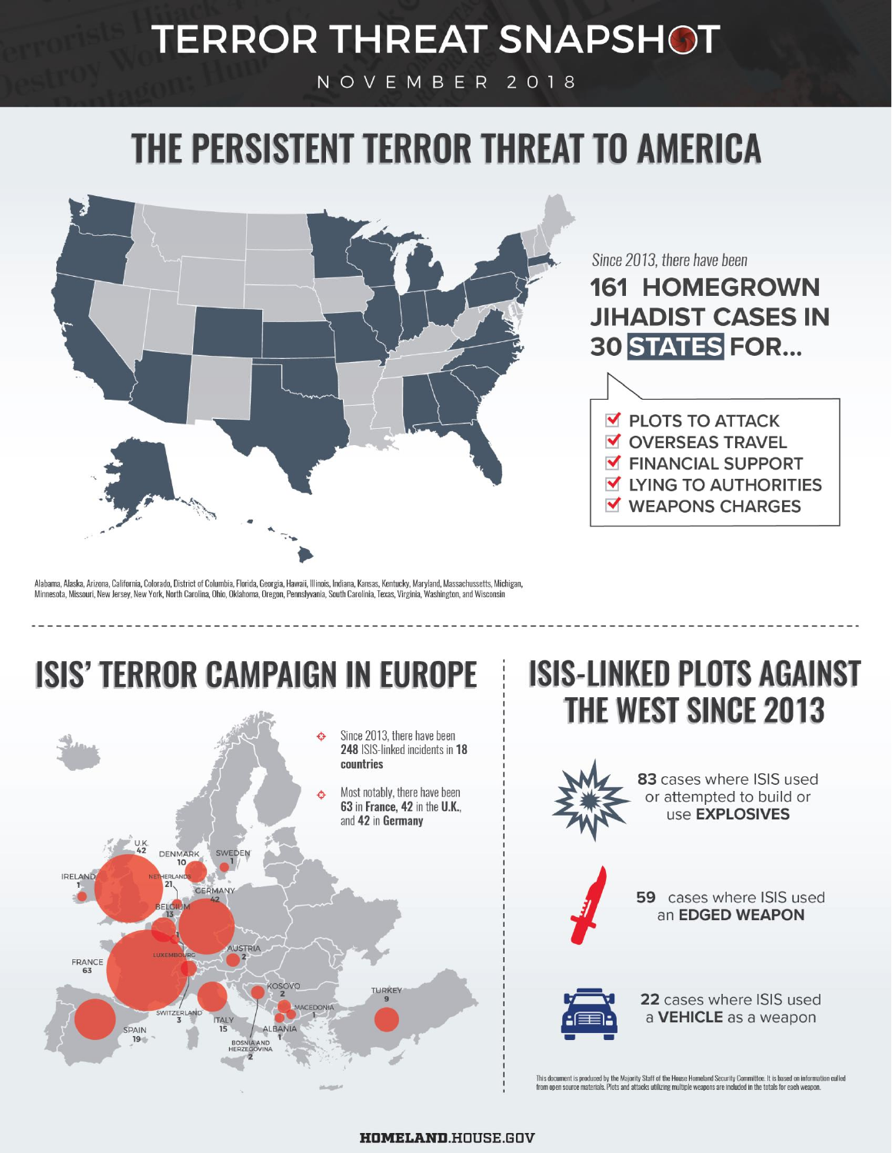## **TERROR THREAT SNAPSHOT**

NOVEMBER 2018

# THE PERSISTENT TERROR THREAT TO AMERICA



Since 2013, there have been

### **161 HOMEGROWN JIHADIST CASES IN 30 STATES FOR...**



Alabama, Alaska, Arizona, California, Colorado, District of Columbia, Florida, Georgia, Hawaii, Illinois, Indiana, Kansas, Kentucky, Maryland, Massachussetts, Michigan, Minnesota, Missouri, New Jersey, New York, North Carolina, Ohio, Oklahoma, Oregon, Pennslyvania, South Carolinia, Texas, Virginia, Washington, and Wisconsin

### **ISIS' TERROR CAMPAIGN IN EUROPE**



### **ISIS-LINKED PLOTS AGAINST THE WEST SINCE 2013**



83 cases where ISIS used or attempted to build or use EXPLOSIVES



59 cases where ISIS used an EDGED WEAPON



22 cases where ISIS used a VEHICLE as a weapon

This document is produced by the Majority Staff of the House Homeland Security Committee. It is based on information culled from open source materials. Plots and attacks utilizing multiple weapons are included in the totals for each weapon.

#### **HOMELAND.HOUSE.GOV**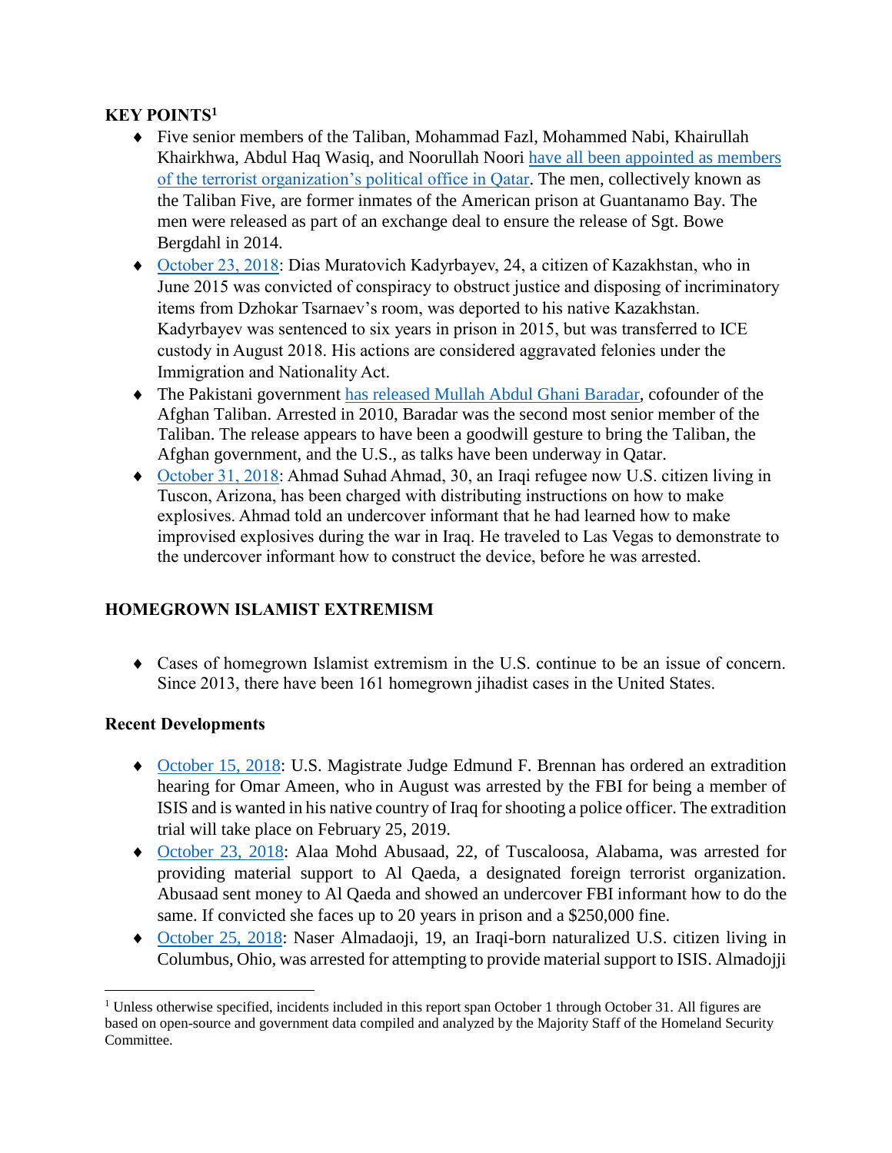#### **KEY POINTS<sup>1</sup>**

- Five senior members of the Taliban, Mohammad Fazl, Mohammed Nabi, Khairullah Khairkhwa, Abdul Haq Wasiq, and Noorullah Noori [have all been appointed as members](https://www.nytimes.com/2018/10/31/world/asia/taliban-five-guantanamo-qatar.html)  [of the terrorist organization's political office in Qatar.](https://www.nytimes.com/2018/10/31/world/asia/taliban-five-guantanamo-qatar.html) The men, collectively known as the Taliban Five, are former inmates of the American prison at Guantanamo Bay. The men were released as part of an exchange deal to ensure the release of Sgt. Bowe Bergdahl in 2014.
- [October 23, 2018:](https://www.ice.gov/news/releases/ice-dallas-officers-remove-kazakhstani-man-convicted-concealing-evidence-boston) Dias Muratovich Kadyrbayev, 24, a citizen of Kazakhstan, who in June 2015 was convicted of conspiracy to obstruct justice and disposing of incriminatory items from Dzhokar Tsarnaev's room, was deported to his native Kazakhstan. Kadyrbayev was sentenced to six years in prison in 2015, but was transferred to ICE custody in August 2018. His actions are considered aggravated felonies under the Immigration and Nationality Act.
- The Pakistani government [has released Mullah Abdul Ghani Baradar,](https://www.npr.org/2018/10/26/660853896/pakistan-releases-taliban-co-founder-in-possible-overture-to-talks) cofounder of the Afghan Taliban. Arrested in 2010, Baradar was the second most senior member of the Taliban. The release appears to have been a goodwill gesture to bring the Taliban, the Afghan government, and the U.S., as talks have been underway in Qatar.
- [October 31, 2018:](https://www.cbsnews.com/news/ahmad-suhad-ahmad-arrested-in-sting-operation-showed-agents-how-to-build-bombs-feds-say/) Ahmad Suhad Ahmad, 30, an Iraqi refugee now U.S. citizen living in Tuscon, Arizona, has been charged with distributing instructions on how to make explosives. Ahmad told an undercover informant that he had learned how to make improvised explosives during the war in Iraq. He traveled to Las Vegas to demonstrate to the undercover informant how to construct the device, before he was arrested.

#### **HOMEGROWN ISLAMIST EXTREMISM**

 Cases of homegrown Islamist extremism in the U.S. continue to be an issue of concern. Since 2013, there have been 161 homegrown jihadist cases in the United States.

#### **Recent Developments**

 $\overline{\phantom{a}}$ 

- [October 15, 2018:](https://www.sacbee.com/news/local/crime/article220041950.html) U.S. Magistrate Judge Edmund F. Brennan has ordered an extradition hearing for Omar Ameen, who in August was arrested by the FBI for being a member of ISIS and is wanted in his native country of Iraq for shooting a police officer. The extradition trial will take place on February 25, 2019.
- [October 23, 2018:](https://www.al.com/news/birmingham/2018/10/22-year-old-woman-living-in-alabama-worked-to-facilitate-support-for-al-qaeda-feds-say.html) Alaa Mohd Abusaad, 22, of Tuscaloosa, Alabama, was arrested for providing material support to Al Qaeda, a designated foreign terrorist organization. Abusaad sent money to Al Qaeda and showed an undercover FBI informant how to do the same. If convicted she faces up to 20 years in prison and a \$250,000 fine.
- [October 25, 2018:](https://www.justice.gov/opa/pr/ohio-man-arrested-and-charged-attempting-travel-join-isis) Naser Almadaoji, 19, an Iraqi-born naturalized U.S. citizen living in Columbus, Ohio, was arrested for attempting to provide material support to ISIS. Almadojji

<sup>&</sup>lt;sup>1</sup> Unless otherwise specified, incidents included in this report span October 1 through October 31. All figures are based on open-source and government data compiled and analyzed by the Majority Staff of the Homeland Security Committee.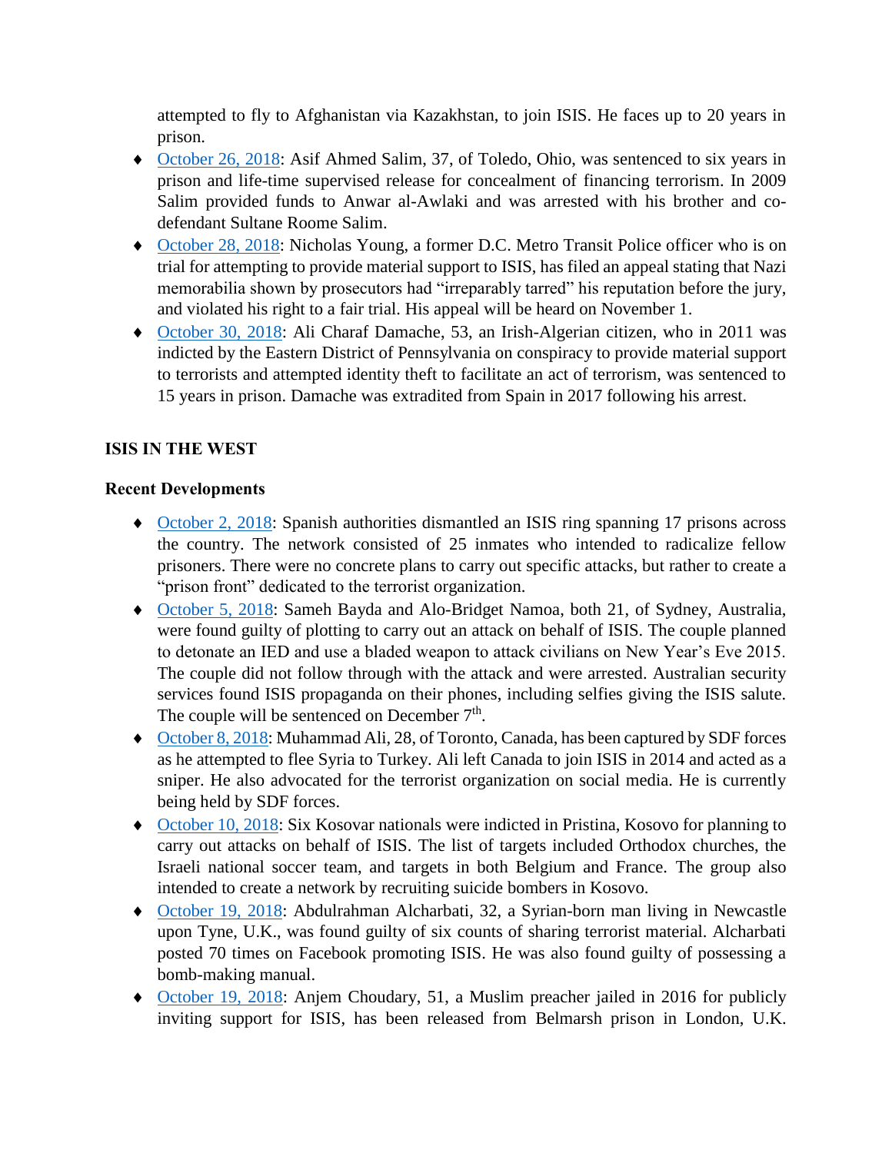attempted to fly to Afghanistan via Kazakhstan, to join ISIS. He faces up to 20 years in prison.

- [October 26, 2018:](https://www.toledoblade.com/local/courts/2018/10/26/Man-funding-terrorism-sentenced-to-six-years-in-prison/stories/20181026093) Asif Ahmed Salim, 37, of Toledo, Ohio, was sentenced to six years in prison and life-time supervised release for concealment of financing terrorism. In 2009 Salim provided funds to Anwar al-Awlaki and was arrested with his brother and codefendant Sultane Roome Salim.
- [October 28, 2018:](https://www.sfgate.com/news/crime/article/Ex-police-officer-appeals-conviction-in-terror-13342949.php) Nicholas Young, a former D.C. Metro Transit Police officer who is on trial for attempting to provide material support to ISIS, has filed an appeal stating that Nazi memorabilia shown by prosecutors had "irreparably tarred" his reputation before the jury, and violated his right to a fair trial. His appeal will be heard on November 1.
- [October 30, 2018:](https://www.justice.gov/usao-edpa/pr/algerian-terrorist-sentenced-15-years-imprisonment) Ali Charaf Damache, 53, an Irish-Algerian citizen, who in 2011 was indicted by the Eastern District of Pennsylvania on conspiracy to provide material support to terrorists and attempted identity theft to facilitate an act of terrorism, was sentenced to 15 years in prison. Damache was extradited from Spain in 2017 following his arrest.

#### **ISIS IN THE WEST**

#### **Recent Developments**

- [October 2, 2018:](https://www.dw.com/en/spain-dismantles-islamic-state-ring-operating-in-jails/a-45731751) Spanish authorities dismantled an ISIS ring spanning 17 prisons across the country. The network consisted of 25 inmates who intended to radicalize fellow prisoners. There were no concrete plans to carry out specific attacks, but rather to create a "prison front" dedicated to the terrorist organization.
- [October 5, 2018:](https://www.smh.com.au/national/nsw/jihadi-bonnie-and-clyde-guilty-of-terrorism-plot-20181005-p50833.html) Sameh Bayda and Alo-Bridget Namoa, both 21, of Sydney, Australia, were found guilty of plotting to carry out an attack on behalf of ISIS. The couple planned to detonate an IED and use a bladed weapon to attack civilians on New Year's Eve 2015. The couple did not follow through with the attack and were arrested. Australian security services found ISIS propaganda on their phones, including selfies giving the ISIS salute. The couple will be sentenced on December  $7<sup>th</sup>$ .
- ◆ [October 8, 2018:](https://globalnews.ca/news/4526514/canadian-isis-caught-in-turkey/) Muhammad Ali, 28, of Toronto, Canada, has been captured by SDF forces as he attempted to flee Syria to Turkey. Ali left Canada to join ISIS in 2014 and acted as a sniper. He also advocated for the terrorist organization on social media. He is currently being held by SDF forces.
- [October 10, 2018:](http://www.balkaninsight.com/en/article/prosecution-reveals-isis-plans-to-destabilize-kosovo-10-10-2018) Six Kosovar nationals were indicted in Pristina, Kosovo for planning to carry out attacks on behalf of ISIS. The list of targets included Orthodox churches, the Israeli national soccer team, and targets in both Belgium and France. The group also intended to create a network by recruiting suicide bombers in Kosovo.
- [October 19, 2018:](https://www.bbc.com/news/uk-england-tyne-45917767) Abdulrahman Alcharbati, 32, a Syrian-born man living in Newcastle upon Tyne, U.K., was found guilty of six counts of sharing terrorist material. Alcharbati posted 70 times on Facebook promoting ISIS. He was also found guilty of possessing a bomb-making manual.
- ◆ [October 19, 2018:](https://edition.cnn.com/2018/10/19/uk/anjem-choudary-release-intl/index.html) Anjem Choudary, 51, a Muslim preacher jailed in 2016 for publicly inviting support for ISIS, has been released from Belmarsh prison in London, U.K.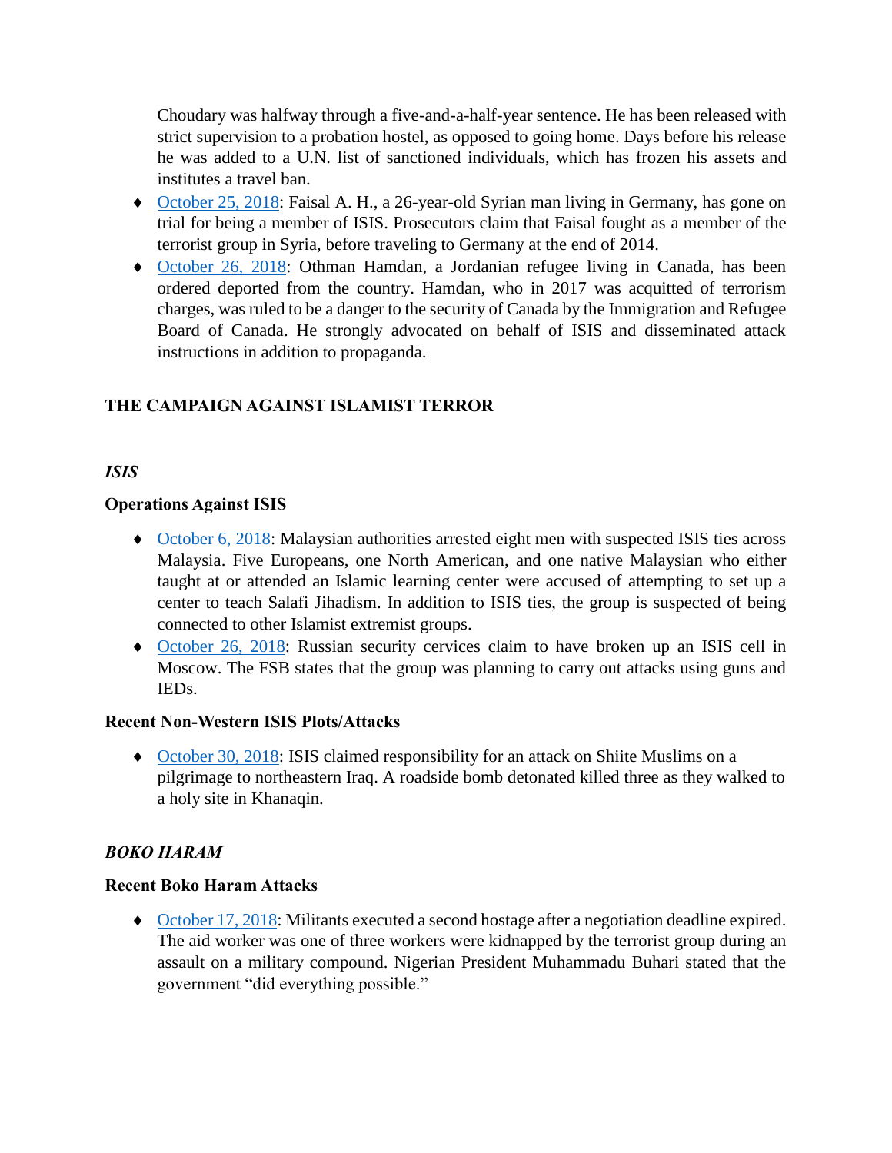Choudary was halfway through a five-and-a-half-year sentence. He has been released with strict supervision to a probation hostel, as opposed to going home. Days before his release he was added to a U.N. list of sanctioned individuals, which has frozen his assets and institutes a travel ban.

- [October 25, 2018:](https://www.washingtonpost.com/world/europe/germany-syrian-goes-on-trial-for-alleged-is-membership/2018/10/25/4990bd24-d872-11e8-8384-bcc5492fef49_story.html?utm_term=.4eca31ca317b) Faisal A. H., a 26-year-old Syrian man living in Germany, has gone on trial for being a member of ISIS. Prosecutors claim that Faisal fought as a member of the terrorist group in Syria, before traveling to Germany at the end of 2014.
- [October 26, 2018:](https://www.cbc.ca/amp/1.4880418) Othman Hamdan, a Jordanian refugee living in Canada, has been ordered deported from the country. Hamdan, who in 2017 was acquitted of terrorism charges, was ruled to be a danger to the security of Canada by the Immigration and Refugee Board of Canada. He strongly advocated on behalf of ISIS and disseminated attack instructions in addition to propaganda.

#### **THE CAMPAIGN AGAINST ISLAMIST TERROR**

#### *ISIS*

#### **Operations Against ISIS**

- [October 6, 2018:](https://www.thestar.com.my/news/nation/2018/10/06/special-branch-detain-7-foreigners-1-msian-with-salafi-jihadi-links/) Malaysian authorities arrested eight men with suspected ISIS ties across Malaysia. Five Europeans, one North American, and one native Malaysian who either taught at or attended an Islamic learning center were accused of attempting to set up a center to teach Salafi Jihadism. In addition to ISIS ties, the group is suspected of being connected to other Islamist extremist groups.
- [October 26, 2018:](https://www.usnews.com/news/world/articles/2018-10-26/russias-fsb-says-detained-six-is-members-plotting-attacks-in-moscow) Russian security cervices claim to have broken up an ISIS cell in Moscow. The FSB states that the group was planning to carry out attacks using guns and IEDs.

#### **Recent Non-Western ISIS Plots/Attacks**

 [October 30, 2018:](https://www.reuters.com/article/us-mideast-crisis-iraq-islamic-state/islamic-state-claims-responsibility-for-attack-on-shiites-in-iraq-idUSKCN1N42N3) ISIS claimed responsibility for an attack on Shiite Muslims on a pilgrimage to northeastern Iraq. A roadside bomb detonated killed three as they walked to a holy site in Khanaqin.

#### *BOKO HARAM*

#### **Recent Boko Haram Attacks**

• [October 17, 2018:](http://time.com/5426755/second-nigerian-aid-worker-killed-boko-haram/) Militants executed a second hostage after a negotiation deadline expired. The aid worker was one of three workers were kidnapped by the terrorist group during an assault on a military compound. Nigerian President Muhammadu Buhari stated that the government "did everything possible."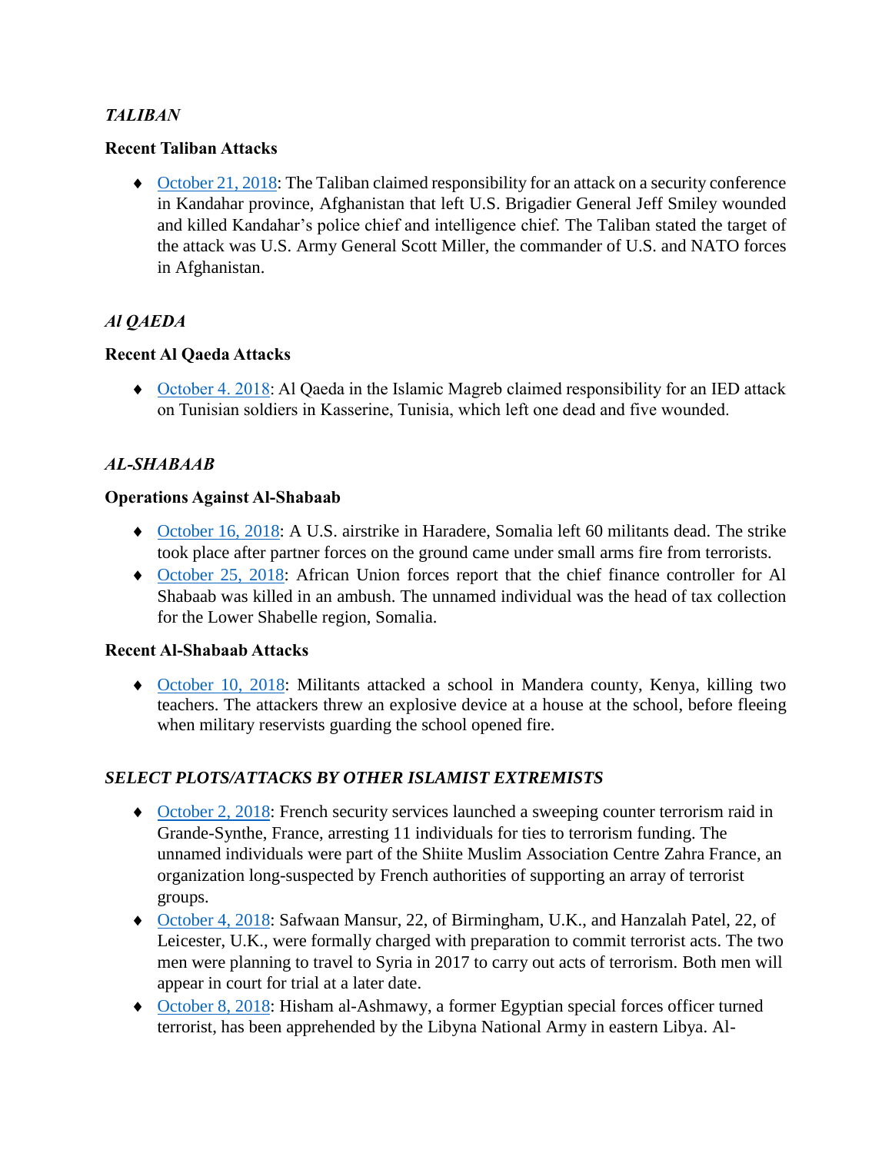#### *TALIBAN*

#### **Recent Taliban Attacks**

 [October 21, 2018:](https://thehill.com/policy/defense/412489-us-general-was-wounded-in-attack-in-afghanistan) The Taliban claimed responsibility for an attack on a security conference in Kandahar province, Afghanistan that left U.S. Brigadier General Jeff Smiley wounded and killed Kandahar's police chief and intelligence chief. The Taliban stated the target of the attack was U.S. Army General Scott Miller, the commander of U.S. and NATO forces in Afghanistan.

#### *Al QAEDA*

#### **Recent Al Qaeda Attacks**

 [October 4. 2018:](https://www.longwarjournal.org/archives/2018/10/al-qaeda-branch-claims-ied-on-tunisian-soldiers.php) Al Qaeda in the Islamic Magreb claimed responsibility for an IED attack on Tunisian soldiers in Kasserine, Tunisia, which left one dead and five wounded.

#### *AL-SHABAAB*

#### **Operations Against Al-Shabaab**

- [October 16, 2018:](https://thehill.com/policy/defense/411621-us-airstrike-kills-60-al-shabaab-militants) A U.S. airstrike in Haradere, Somalia left 60 militants dead. The strike took place after partner forces on the ground came under small arms fire from terrorists.
- [October 25, 2018:](https://www.voanews.com/a/au-force-says-key-al-shabab-commander-killed-/4629214.html) African Union forces report that the chief finance controller for Al Shabaab was killed in an ambush. The unnamed individual was the head of tax collection for the Lower Shabelle region, Somalia.

#### **Recent Al-Shabaab Attacks**

 [October 10, 2018:](https://www.reuters.com/article/us-kenya-security/al-shabaab-attack-kills-two-kenyan-teachers-idUSKCN1MK0SY) Militants attacked a school in Mandera county, Kenya, killing two teachers. The attackers threw an explosive device at a house at the school, before fleeing when military reservists guarding the school opened fire.

#### *SELECT PLOTS/ATTACKS BY OTHER ISLAMIST EXTREMISTS*

- [October 2, 2018:](https://www.thelocal.fr/20181002/11-arrested-after-french-anti-terror-police-raid-muslim-association) French security services launched a sweeping counter terrorism raid in Grande-Synthe, France, arresting 11 individuals for ties to terrorism funding. The unnamed individuals were part of the Shiite Muslim Association Centre Zahra France, an organization long-suspected by French authorities of supporting an array of terrorist groups.
- ◆ [October 4, 2018:](https://www.bbc.com/news/uk-england-birmingham-45745176) Safwaan Mansur, 22, of Birmingham, U.K., and Hanzalah Patel, 22, of Leicester, U.K., were formally charged with preparation to commit terrorist acts. The two men were planning to travel to Syria in 2017 to carry out acts of terrorism. Both men will appear in court for trial at a later date.
- [October 8, 2018:](https://www.reuters.com/article/us-libya-security-egypt/east-libyan-forces-arrest-major-militant-suspect-wanted-by-egypt-idUSKCN1MI149) Hisham al-Ashmawy, a former Egyptian special forces officer turned terrorist, has been apprehended by the Libyna National Army in eastern Libya. Al-